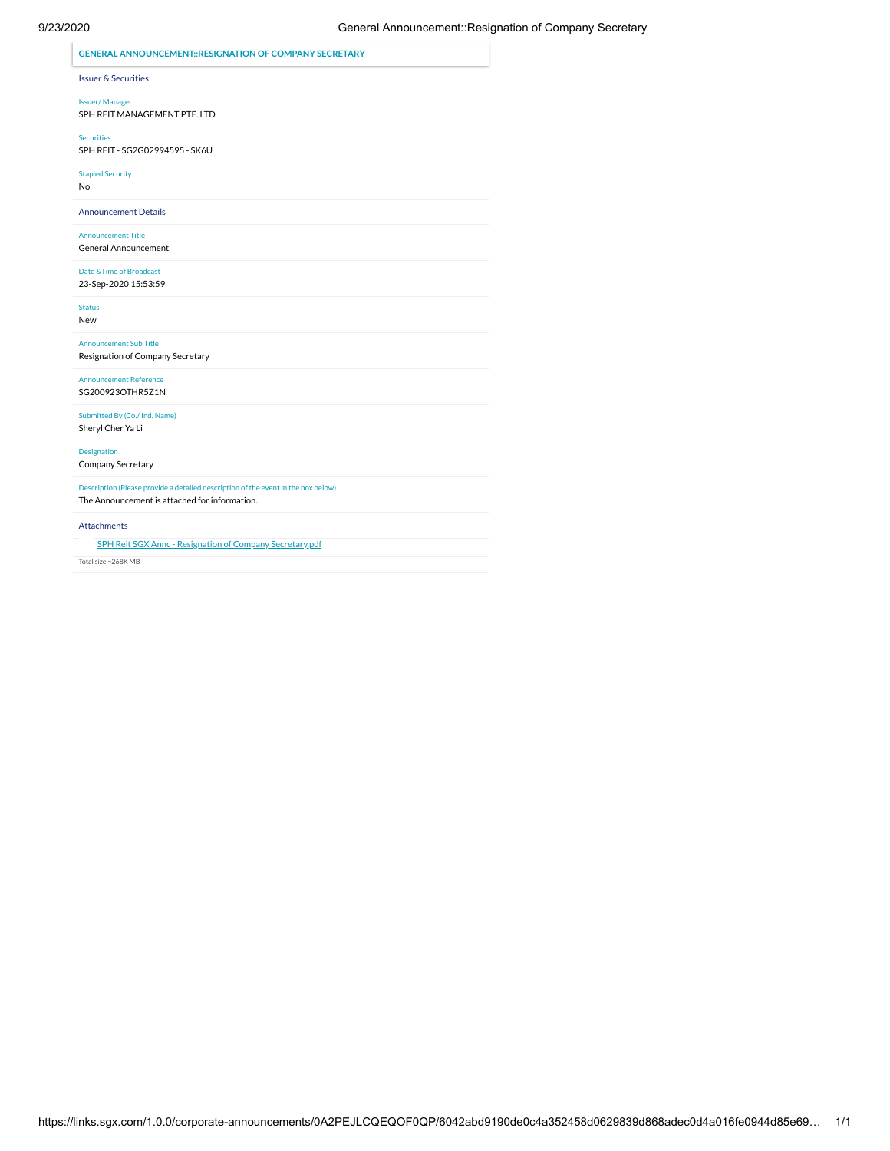## 9/23/2020 General Announcement::Resignation of Company Secretary

| <b>GENERAL ANNOUNCEMENT::RESIGNATION OF COMPANY SECRETARY</b>                                                                      |
|------------------------------------------------------------------------------------------------------------------------------------|
| <b>Issuer &amp; Securities</b>                                                                                                     |
| <b>Issuer/Manager</b><br>SPH REIT MANAGEMENT PTE. LTD.                                                                             |
| <b>Securities</b><br>SPH REIT - SG2G02994595 - SK6U                                                                                |
| <b>Stapled Security</b><br>No                                                                                                      |
| <b>Announcement Details</b>                                                                                                        |
| <b>Announcement Title</b><br>General Announcement                                                                                  |
| Date & Time of Broadcast<br>23-Sep-2020 15:53:59                                                                                   |
| <b>Status</b><br>New                                                                                                               |
| <b>Announcement Sub Title</b><br>Resignation of Company Secretary                                                                  |
| <b>Announcement Reference</b><br>SG200923OTHR5Z1N                                                                                  |
| Submitted By (Co./ Ind. Name)<br>Sheryl Cher Ya Li                                                                                 |
| Designation<br>Company Secretary                                                                                                   |
| Description (Please provide a detailed description of the event in the box below)<br>The Announcement is attached for information. |
| <b>Attachments</b>                                                                                                                 |
| <b>SPH Reit SGX Annc - Resignation of Company Secretary.pdf</b>                                                                    |
| Total size = 268K MB                                                                                                               |